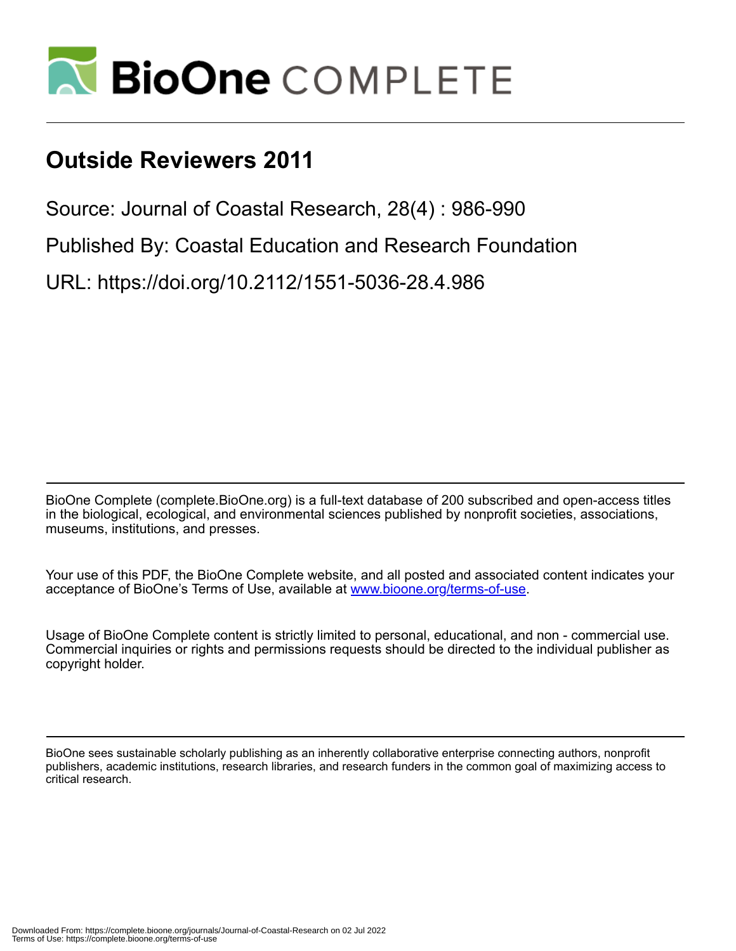

## **Outside Reviewers 2011**

Source: Journal of Coastal Research, 28(4) : 986-990

Published By: Coastal Education and Research Foundation

URL: https://doi.org/10.2112/1551-5036-28.4.986

BioOne Complete (complete.BioOne.org) is a full-text database of 200 subscribed and open-access titles in the biological, ecological, and environmental sciences published by nonprofit societies, associations, museums, institutions, and presses.

Your use of this PDF, the BioOne Complete website, and all posted and associated content indicates your acceptance of BioOne's Terms of Use, available at www.bioone.org/terms-of-use.

Usage of BioOne Complete content is strictly limited to personal, educational, and non - commercial use. Commercial inquiries or rights and permissions requests should be directed to the individual publisher as copyright holder.

BioOne sees sustainable scholarly publishing as an inherently collaborative enterprise connecting authors, nonprofit publishers, academic institutions, research libraries, and research funders in the common goal of maximizing access to critical research.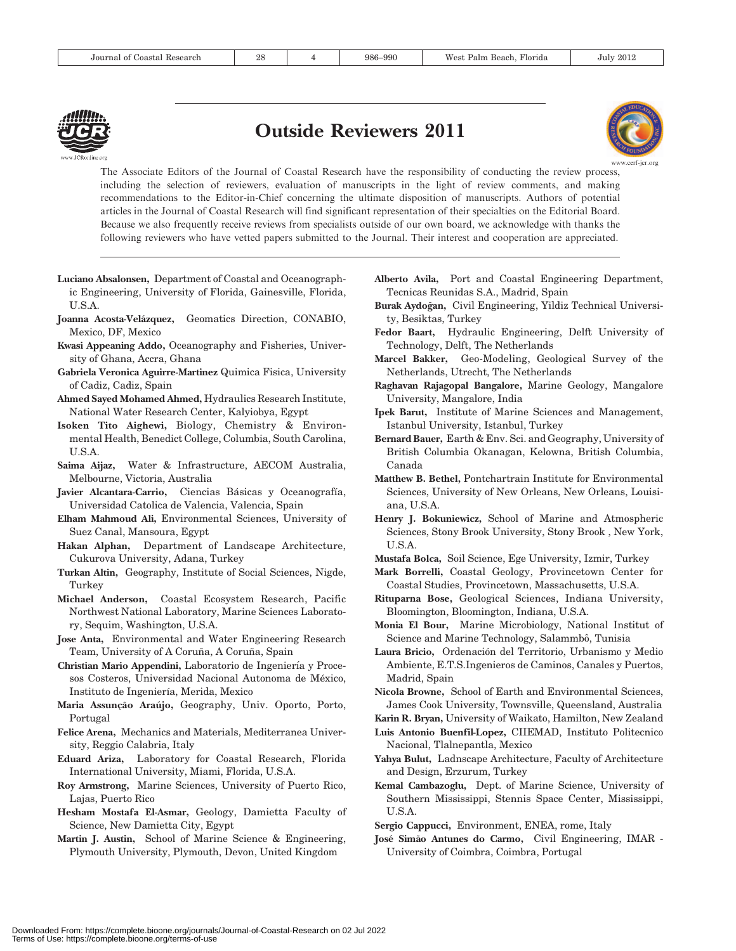

## Outside Reviewers 2011



The Associate Editors of the Journal of Coastal Research have the responsibility of conducting the review process, including the selection of reviewers, evaluation of manuscripts in the light of review comments, and making recommendations to the Editor-in-Chief concerning the ultimate disposition of manuscripts. Authors of potential articles in the Journal of Coastal Research will find significant representation of their specialties on the Editorial Board. Because we also frequently receive reviews from specialists outside of our own board, we acknowledge with thanks the following reviewers who have vetted papers submitted to the Journal. Their interest and cooperation are appreciated.

- Luciano Absalonsen, Department of Coastal and Oceanographic Engineering, University of Florida, Gainesville, Florida, U.S.A.
- Joanna Acosta-Velázquez, Geomatics Direction, CONABIO, Mexico, DF, Mexico
- Kwasi Appeaning Addo, Oceanography and Fisheries, University of Ghana, Accra, Ghana
- Gabriela Veronica Aguirre-Martinez Quimica Fisica, University of Cadiz, Cadiz, Spain
- Ahmed Sayed Mohamed Ahmed, Hydraulics Research Institute, National Water Research Center, Kalyiobya, Egypt
- Isoken Tito Aighewi, Biology, Chemistry & Environmental Health, Benedict College, Columbia, South Carolina, U.S.A.
- Saima Aijaz, Water & Infrastructure, AECOM Australia, Melbourne, Victoria, Australia
- Javier Alcantara-Carrio, Ciencias Básicas y Oceanografía, Universidad Catolica de Valencia, Valencia, Spain
- Elham Mahmoud Ali, Environmental Sciences, University of Suez Canal, Mansoura, Egypt
- Hakan Alphan, Department of Landscape Architecture, Cukurova University, Adana, Turkey
- Turkan Altin, Geography, Institute of Social Sciences, Nigde, Turkey
- Michael Anderson, Coastal Ecosystem Research, Pacific Northwest National Laboratory, Marine Sciences Laboratory, Sequim, Washington, U.S.A.
- Jose Anta, Environmental and Water Engineering Research Team, University of A Coruña, A Coruña, Spain
- Christian Mario Appendini, Laboratorio de Ingeniería y Procesos Costeros, Universidad Nacional Autonoma de México, Instituto de Ingeniería, Merida, Mexico
- Maria Assunção Araújo, Geography, Univ. Oporto, Porto, Portugal
- Felice Arena, Mechanics and Materials, Mediterranea University, Reggio Calabria, Italy
- Eduard Ariza, Laboratory for Coastal Research, Florida International University, Miami, Florida, U.S.A.
- Roy Armstrong, Marine Sciences, University of Puerto Rico, Lajas, Puerto Rico
- Hesham Mostafa El-Asmar, Geology, Damietta Faculty of Science, New Damietta City, Egypt
- Martin J. Austin, School of Marine Science & Engineering, Plymouth University, Plymouth, Devon, United Kingdom
- Alberto Avila, Port and Coastal Engineering Department, Tecnicas Reunidas S.A., Madrid, Spain
- Burak Aydoğan, Civil Engineering, Yildiz Technical University, Besiktas, Turkey
- Fedor Baart, Hydraulic Engineering, Delft University of Technology, Delft, The Netherlands
- Marcel Bakker, Geo-Modeling, Geological Survey of the Netherlands, Utrecht, The Netherlands
- Raghavan Rajagopal Bangalore, Marine Geology, Mangalore University, Mangalore, India
- Ipek Barut, Institute of Marine Sciences and Management, Istanbul University, Istanbul, Turkey
- Bernard Bauer, Earth & Env. Sci. and Geography, University of British Columbia Okanagan, Kelowna, British Columbia, Canada
- Matthew B. Bethel, Pontchartrain Institute for Environmental Sciences, University of New Orleans, New Orleans, Louisiana, U.S.A.
- Henry J. Bokuniewicz, School of Marine and Atmospheric Sciences, Stony Brook University, Stony Brook , New York, U.S.A.
- Mustafa Bolca, Soil Science, Ege University, Izmir, Turkey
- Mark Borrelli, Coastal Geology, Provincetown Center for Coastal Studies, Provincetown, Massachusetts, U.S.A.
- Rituparna Bose, Geological Sciences, Indiana University, Bloomington, Bloomington, Indiana, U.S.A.
- Monia El Bour, Marine Microbiology, National Institut of Science and Marine Technology, Salammbô, Tunisia
- Laura Bricio, Ordenación del Territorio, Urbanismo y Medio Ambiente, E.T.S.Ingenieros de Caminos, Canales y Puertos, Madrid, Spain
- Nicola Browne, School of Earth and Environmental Sciences, James Cook University, Townsville, Queensland, Australia
- Karin R. Bryan, University of Waikato, Hamilton, New Zealand
- Luis Antonio Buenfil-Lopez, CIIEMAD, Instituto Politecnico Nacional, Tlalnepantla, Mexico
- Yahya Bulut, Ladnscape Architecture, Faculty of Architecture and Design, Erzurum, Turkey
- Kemal Cambazoglu, Dept. of Marine Science, University of Southern Mississippi, Stennis Space Center, Mississippi, U.S.A.
- Sergio Cappucci, Environment, ENEA, rome, Italy
- José Simão Antunes do Carmo, Civil Engineering, IMAR -University of Coimbra, Coimbra, Portugal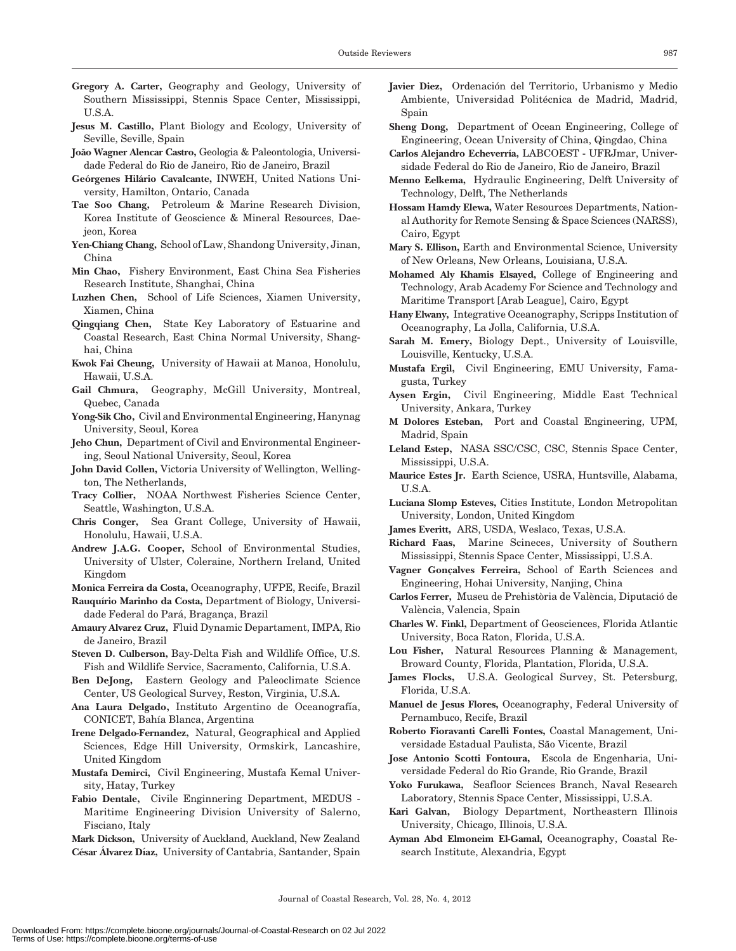- Gregory A. Carter, Geography and Geology, University of Southern Mississippi, Stennis Space Center, Mississippi, U.S.A.
- Jesus M. Castillo, Plant Biology and Ecology, University of Seville, Seville, Spain
- João Wagner Alencar Castro, Geologia & Paleontologia, Universidade Federal do Rio de Janeiro, Rio de Janeiro, Brazil
- Geórgenes Hilário Cavalcante, INWEH, United Nations University, Hamilton, Ontario, Canada
- Tae Soo Chang, Petroleum & Marine Research Division, Korea Institute of Geoscience & Mineral Resources, Daejeon, Korea
- Yen-Chiang Chang, School of Law, Shandong University, Jinan, China
- Min Chao, Fishery Environment, East China Sea Fisheries Research Institute, Shanghai, China
- Luzhen Chen, School of Life Sciences, Xiamen University, Xiamen, China
- Qingqiang Chen, State Key Laboratory of Estuarine and Coastal Research, East China Normal University, Shanghai, China
- Kwok Fai Cheung, University of Hawaii at Manoa, Honolulu, Hawaii, U.S.A.
- Gail Chmura, Geography, McGill University, Montreal, Quebec, Canada
- Yong-Sik Cho, Civil and Environmental Engineering, Hanynag University, Seoul, Korea
- Jeho Chun, Department of Civil and Environmental Engineering, Seoul National University, Seoul, Korea
- John David Collen, Victoria University of Wellington, Wellington, The Netherlands,
- Tracy Collier, NOAA Northwest Fisheries Science Center, Seattle, Washington, U.S.A.
- Chris Conger, Sea Grant College, University of Hawaii, Honolulu, Hawaii, U.S.A.
- Andrew J.A.G. Cooper, School of Environmental Studies, University of Ulster, Coleraine, Northern Ireland, United Kingdom
- Monica Ferreira da Costa, Oceanography, UFPE, Recife, Brazil
- Rauquírio Marinho da Costa, Department of Biology, Universidade Federal do Pará, Bragança, Brazil
- Amaury Alvarez Cruz, Fluid Dynamic Departament, IMPA, Rio de Janeiro, Brazil
- Steven D. Culberson, Bay-Delta Fish and Wildlife Office, U.S. Fish and Wildlife Service, Sacramento, California, U.S.A.
- Ben DeJong, Eastern Geology and Paleoclimate Science Center, US Geological Survey, Reston, Virginia, U.S.A.
- Ana Laura Delgado, Instituto Argentino de Oceanografía, CONICET, Bahı´a Blanca, Argentina
- Irene Delgado-Fernandez, Natural, Geographical and Applied Sciences, Edge Hill University, Ormskirk, Lancashire, United Kingdom
- Mustafa Demirci, Civil Engineering, Mustafa Kemal University, Hatay, Turkey
- Fabio Dentale, Civile Enginnering Department, MEDUS Maritime Engineering Division University of Salerno, Fisciano, Italy

Mark Dickson, University of Auckland, Auckland, New Zealand César Álvarez Díaz, University of Cantabria, Santander, Spain

- Javier Diez, Ordenación del Territorio, Urbanismo y Medio Ambiente, Universidad Politécnica de Madrid, Madrid, Spain
- Sheng Dong, Department of Ocean Engineering, College of Engineering, Ocean University of China, Qingdao, China
- Carlos Alejandro Echeverría, LABCOEST UFRJmar, Universidade Federal do Rio de Janeiro, Rio de Janeiro, Brazil
- Menno Eelkema, Hydraulic Engineering, Delft University of Technology, Delft, The Netherlands
- Hossam Hamdy Elewa, Water Resources Departments, National Authority for Remote Sensing & Space Sciences (NARSS), Cairo, Egypt
- Mary S. Ellison, Earth and Environmental Science, University of New Orleans, New Orleans, Louisiana, U.S.A.
- Mohamed Aly Khamis Elsayed, College of Engineering and Technology, Arab Academy For Science and Technology and Maritime Transport [Arab League], Cairo, Egypt
- Hany Elwany, Integrative Oceanography, Scripps Institution of Oceanography, La Jolla, California, U.S.A.
- Sarah M. Emery, Biology Dept., University of Louisville, Louisville, Kentucky, U.S.A.
- Mustafa Ergil, Civil Engineering, EMU University, Famagusta, Turkey
- Aysen Ergin, Civil Engineering, Middle East Technical University, Ankara, Turkey
- M Dolores Esteban, Port and Coastal Engineering, UPM, Madrid, Spain
- Leland Estep, NASA SSC/CSC, CSC, Stennis Space Center, Mississippi, U.S.A.
- Maurice Estes Jr. Earth Science, USRA, Huntsville, Alabama, U.S.A.
- Luciana Slomp Esteves, Cities Institute, London Metropolitan University, London, United Kingdom
- James Everitt, ARS, USDA, Weslaco, Texas, U.S.A.
- Richard Faas, Marine Scineces, University of Southern Mississippi, Stennis Space Center, Mississippi, U.S.A.
- Vagner Gonçalves Ferreira, School of Earth Sciences and Engineering, Hohai University, Nanjing, China
- Carlos Ferrer, Museu de Prehistòria de València, Diputació de València, Valencia, Spain
- Charles W. Finkl, Department of Geosciences, Florida Atlantic University, Boca Raton, Florida, U.S.A.
- Lou Fisher, Natural Resources Planning & Management, Broward County, Florida, Plantation, Florida, U.S.A.
- James Flocks, U.S.A. Geological Survey, St. Petersburg, Florida, U.S.A.
- Manuel de Jesus Flores, Oceanography, Federal University of Pernambuco, Recife, Brazil
- Roberto Fioravanti Carelli Fontes, Coastal Management, Universidade Estadual Paulista, São Vicente, Brazil
- Jose Antonio Scotti Fontoura, Escola de Engenharia, Universidade Federal do Rio Grande, Rio Grande, Brazil
- Yoko Furukawa, Seafloor Sciences Branch, Naval Research Laboratory, Stennis Space Center, Mississippi, U.S.A.
- Kari Galvan, Biology Department, Northeastern Illinois University, Chicago, Illinois, U.S.A.
- Ayman Abd Elmoneim El-Gamal, Oceanography, Coastal Research Institute, Alexandria, Egypt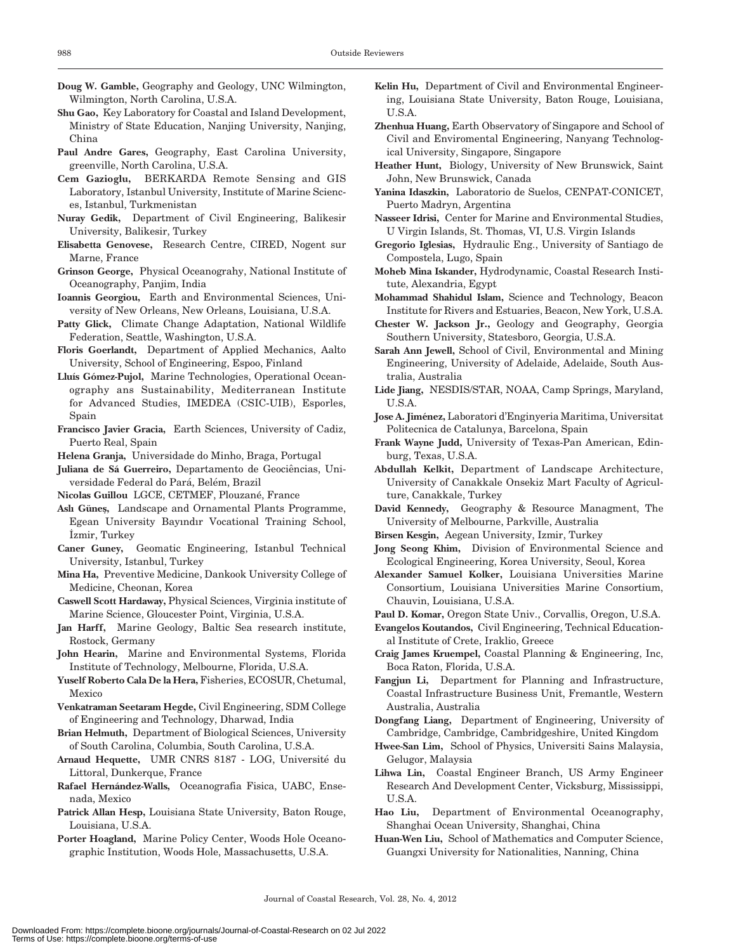- Doug W. Gamble, Geography and Geology, UNC Wilmington, Wilmington, North Carolina, U.S.A.
- Shu Gao, Key Laboratory for Coastal and Island Development, Ministry of State Education, Nanjing University, Nanjing, China
- Paul Andre Gares, Geography, East Carolina University, greenville, North Carolina, U.S.A.
- Cem Gazioglu, BERKARDA Remote Sensing and GIS Laboratory, Istanbul University, Institute of Marine Sciences, Istanbul, Turkmenistan
- Nuray Gedik, Department of Civil Engineering, Balikesir University, Balikesir, Turkey
- Elisabetta Genovese, Research Centre, CIRED, Nogent sur Marne, France
- Grinson George, Physical Oceanograhy, National Institute of Oceanography, Panjim, India
- Ioannis Georgiou, Earth and Environmental Sciences, University of New Orleans, New Orleans, Louisiana, U.S.A.
- Patty Glick, Climate Change Adaptation, National Wildlife Federation, Seattle, Washington, U.S.A.
- Floris Goerlandt, Department of Applied Mechanics, Aalto University, School of Engineering, Espoo, Finland
- Lluís Gómez-Pujol, Marine Technologies, Operational Oceanography ans Sustainability, Mediterranean Institute for Advanced Studies, IMEDEA (CSIC-UIB), Esporles, Spain
- Francisco Javier Gracia, Earth Sciences, University of Cadiz, Puerto Real, Spain
- Helena Granja, Universidade do Minho, Braga, Portugal
- Juliana de Sá Guerreiro, Departamento de Geociências, Universidade Federal do Pará, Belém, Brazil
- Nicolas Guillou LGCE, CETMEF, Plouzané, France
- Ash Güneş, Landscape and Ornamental Plants Programme, Egean University Bayındır Vocational Training School, İzmir, Turkey
- Caner Guney, Geomatic Engineering, Istanbul Technical University, Istanbul, Turkey
- Mina Ha, Preventive Medicine, Dankook University College of Medicine, Cheonan, Korea
- Caswell Scott Hardaway, Physical Sciences, Virginia institute of Marine Science, Gloucester Point, Virginia, U.S.A.
- Jan Harff, Marine Geology, Baltic Sea research institute, Rostock, Germany
- John Hearin, Marine and Environmental Systems, Florida Institute of Technology, Melbourne, Florida, U.S.A.
- Yuself Roberto Cala De la Hera, Fisheries, ECOSUR, Chetumal, Mexico
- Venkatraman Seetaram Hegde, Civil Engineering, SDM College of Engineering and Technology, Dharwad, India
- Brian Helmuth, Department of Biological Sciences, University of South Carolina, Columbia, South Carolina, U.S.A.
- Arnaud Hequette, UMR CNRS 8187 LOG, Université du Littoral, Dunkerque, France
- Rafael Hernández-Walls, Oceanografia Fisica, UABC, Ensenada, Mexico
- Patrick Allan Hesp, Louisiana State University, Baton Rouge, Louisiana, U.S.A.
- Porter Hoagland, Marine Policy Center, Woods Hole Oceanographic Institution, Woods Hole, Massachusetts, U.S.A.
- Kelin Hu, Department of Civil and Environmental Engineering, Louisiana State University, Baton Rouge, Louisiana,  $U.S.A.$
- Zhenhua Huang, Earth Observatory of Singapore and School of Civil and Enviromental Engineering, Nanyang Technological University, Singapore, Singapore
- Heather Hunt, Biology, University of New Brunswick, Saint John, New Brunswick, Canada
- Yanina Idaszkin, Laboratorio de Suelos, CENPAT-CONICET, Puerto Madryn, Argentina
- Nasseer Idrisi, Center for Marine and Environmental Studies, U Virgin Islands, St. Thomas, VI, U.S. Virgin Islands
- Gregorio Iglesias, Hydraulic Eng., University of Santiago de Compostela, Lugo, Spain
- Moheb Mina Iskander, Hydrodynamic, Coastal Research Institute, Alexandria, Egypt
- Mohammad Shahidul Islam, Science and Technology, Beacon Institute for Rivers and Estuaries, Beacon, New York, U.S.A.
- Chester W. Jackson Jr., Geology and Geography, Georgia Southern University, Statesboro, Georgia, U.S.A.
- Sarah Ann Jewell, School of Civil, Environmental and Mining Engineering, University of Adelaide, Adelaide, South Australia. Australia
- Lide Jiang, NESDIS/STAR, NOAA, Camp Springs, Maryland, U.S.A.
- Jose A. Jiménez, Laboratori d'Enginyeria Maritima, Universitat Politecnica de Catalunya, Barcelona, Spain
- Frank Wayne Judd, University of Texas-Pan American, Edinburg, Texas, U.S.A.
- Abdullah Kelkit, Department of Landscape Architecture, University of Canakkale Onsekiz Mart Faculty of Agriculture, Canakkale, Turkey
- David Kennedy, Geography & Resource Managment, The University of Melbourne, Parkville, Australia
- Birsen Kesgin, Aegean University, Izmir, Turkey
- Jong Seong Khim, Division of Environmental Science and Ecological Engineering, Korea University, Seoul, Korea
- Alexander Samuel Kolker, Louisiana Universities Marine Consortium, Louisiana Universities Marine Consortium, Chauvin, Louisiana, U.S.A.
- Paul D. Komar, Oregon State Univ., Corvallis, Oregon, U.S.A.
- Evangelos Koutandos, Civil Engineering, Technical Educational Institute of Crete, Iraklio, Greece
- Craig James Kruempel, Coastal Planning & Engineering, Inc, Boca Raton, Florida, U.S.A.
- Fangjun Li, Department for Planning and Infrastructure, Coastal Infrastructure Business Unit, Fremantle, Western Australia, Australia
- Dongfang Liang, Department of Engineering, University of Cambridge, Cambridge, Cambridgeshire, United Kingdom
- Hwee-San Lim, School of Physics, Universiti Sains Malaysia, Gelugor, Malaysia
- Lihwa Lin, Coastal Engineer Branch, US Army Engineer Research And Development Center, Vicksburg, Mississippi, U.S.A.
- Hao Liu, Department of Environmental Oceanography, Shanghai Ocean University, Shanghai, China
- Huan-Wen Liu, School of Mathematics and Computer Science, Guangxi University for Nationalities, Nanning, China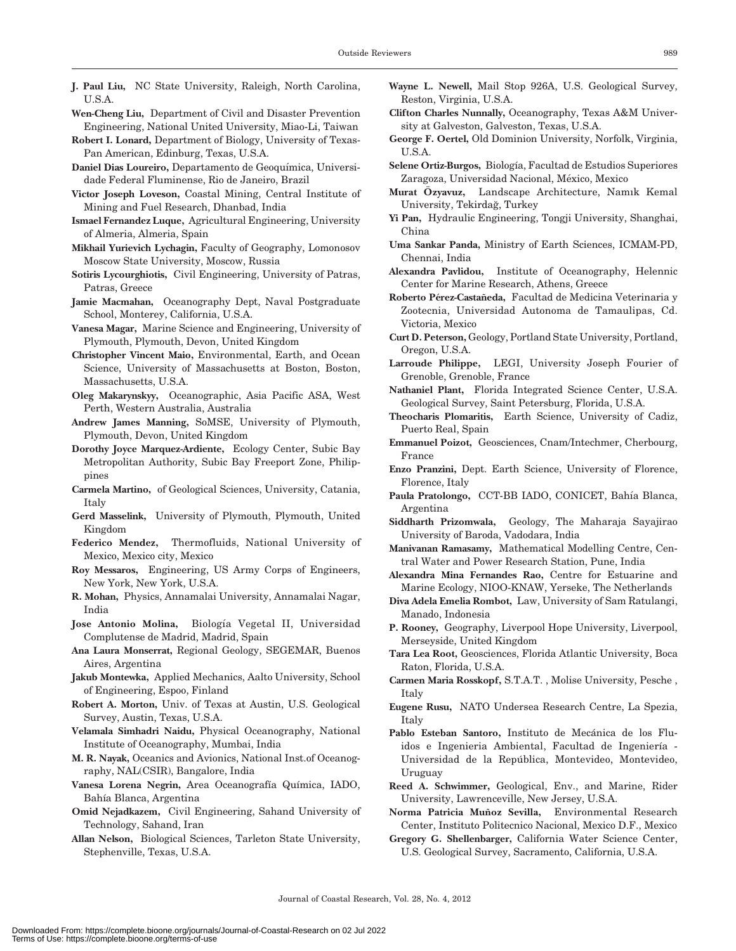- J. Paul Liu, NC State University, Raleigh, North Carolina, U.S.A.
- Wen-Cheng Liu, Department of Civil and Disaster Prevention Engineering, National United University, Miao-Li, Taiwan
- Robert I. Lonard, Department of Biology, University of Texas-Pan American, Edinburg, Texas, U.S.A.
- Daniel Dias Loureiro, Departamento de Geoquímica, Universidade Federal Fluminense, Rio de Janeiro, Brazil
- Victor Joseph Loveson, Coastal Mining, Central Institute of Mining and Fuel Research, Dhanbad, India
- Ismael Fernandez Luque, Agricultural Engineering, University of Almeria, Almeria, Spain
- Mikhail Yurievich Lychagin, Faculty of Geography, Lomonosov Moscow State University, Moscow, Russia
- Sotiris Lycourghiotis, Civil Engineering, University of Patras, Patras, Greece
- Jamie Macmahan, Oceanography Dept, Naval Postgraduate School, Monterey, California, U.S.A.
- Vanesa Magar, Marine Science and Engineering, University of Plymouth, Plymouth, Devon, United Kingdom
- Christopher Vincent Maio, Environmental, Earth, and Ocean Science, University of Massachusetts at Boston, Boston, Massachusetts, U.S.A.
- Oleg Makarynskyy, Oceanographic, Asia Pacific ASA, West Perth, Western Australia, Australia
- Andrew James Manning, SoMSE, University of Plymouth, Plymouth, Devon, United Kingdom
- Dorothy Joyce Marquez-Ardiente, Ecology Center, Subic Bay Metropolitan Authority, Subic Bay Freeport Zone, Philippines
- Carmela Martino, of Geological Sciences, University, Catania, Italy
- Gerd Masselink, University of Plymouth, Plymouth, United Kingdom
- Federico Mendez, Thermofluids, National University of Mexico, Mexico city, Mexico
- Roy Messaros, Engineering, US Army Corps of Engineers, New York, New York, U.S.A.
- R. Mohan, Physics, Annamalai University, Annamalai Nagar, India
- Jose Antonio Molina, Biología Vegetal II, Universidad Complutense de Madrid, Madrid, Spain
- Ana Laura Monserrat, Regional Geology, SEGEMAR, Buenos Aires, Argentina
- Jakub Montewka, Applied Mechanics, Aalto University, School of Engineering, Espoo, Finland
- Robert A. Morton, Univ. of Texas at Austin, U.S. Geological Survey, Austin, Texas, U.S.A.
- Velamala Simhadri Naidu, Physical Oceanography, National Institute of Oceanography, Mumbai, India
- M. R. Nayak, Oceanics and Avionics, National Inst.of Oceanography, NAL(CSIR), Bangalore, India
- Vanesa Lorena Negrin, Area Oceanografía Química, IADO, Bahía Blanca, Argentina
- Omid Nejadkazem, Civil Engineering, Sahand University of Technology, Sahand, Iran
- Allan Nelson, Biological Sciences, Tarleton State University, Stephenville, Texas, U.S.A.
- Wayne L. Newell, Mail Stop 926A, U.S. Geological Survey, Reston, Virginia, U.S.A.
- Clifton Charles Nunnally, Oceanography, Texas A&M University at Galveston, Galveston, Texas, U.S.A.
- George F. Oertel, Old Dominion University, Norfolk, Virginia, U.S.A.
- Selene Ortiz-Burgos, Biología, Facultad de Estudios Superiores Zaragoza, Universidad Nacional, México, Mexico
- Murat Özyavuz, Landscape Architecture, Namık Kemal University, Tekirdağ, Turkey
- Yi Pan, Hydraulic Engineering, Tongji University, Shanghai, China
- Uma Sankar Panda, Ministry of Earth Sciences, ICMAM-PD, Chennai, India
- Alexandra Pavlidou, Institute of Oceanography, Helennic Center for Marine Research, Athens, Greece
- Roberto Pérez-Castañeda, Facultad de Medicina Veterinaria y Zootecnia, Universidad Autonoma de Tamaulipas, Cd. Victoria, Mexico
- Curt D. Peterson, Geology, Portland State University, Portland, Oregon, U.S.A.
- Larroude Philippe, LEGI, University Joseph Fourier of Grenoble, Grenoble, France
- Nathaniel Plant, Florida Integrated Science Center, U.S.A. Geological Survey, Saint Petersburg, Florida, U.S.A.
- Theocharis Plomaritis, Earth Science, University of Cadiz, Puerto Real, Spain
- Emmanuel Poizot, Geosciences, Cnam/Intechmer, Cherbourg, France
- Enzo Pranzini, Dept. Earth Science, University of Florence, Florence, Italy
- Paula Pratolongo, CCT-BB IADO, CONICET, Bahía Blanca, Argentina
- Siddharth Prizomwala, Geology, The Maharaja Sayajirao University of Baroda, Vadodara, India
- Manivanan Ramasamy, Mathematical Modelling Centre, Central Water and Power Research Station, Pune, India
- Alexandra Mina Fernandes Rao, Centre for Estuarine and Marine Ecology, NIOO-KNAW, Yerseke, The Netherlands
- Diva Adela Emelia Rombot, Law, University of Sam Ratulangi, Manado, Indonesia
- P. Rooney, Geography, Liverpool Hope University, Liverpool, Merseyside, United Kingdom
- Tara Lea Root, Geosciences, Florida Atlantic University, Boca Raton, Florida, U.S.A.
- Carmen Maria Rosskopf, S.T.A.T. , Molise University, Pesche , Italy
- Eugene Rusu, NATO Undersea Research Centre, La Spezia, Italy
- Pablo Esteban Santoro, Instituto de Mecánica de los Fluidos e Ingenieria Ambiental, Facultad de Ingeniería -Universidad de la República, Montevideo, Montevideo, Uruguay
- Reed A. Schwimmer, Geological, Env., and Marine, Rider University, Lawrenceville, New Jersey, U.S.A.
- Norma Patricia Muñoz Sevilla, Environmental Research Center, Instituto Politecnico Nacional, Mexico D.F., Mexico
- Gregory G. Shellenbarger, California Water Science Center, U.S. Geological Survey, Sacramento, California, U.S.A.